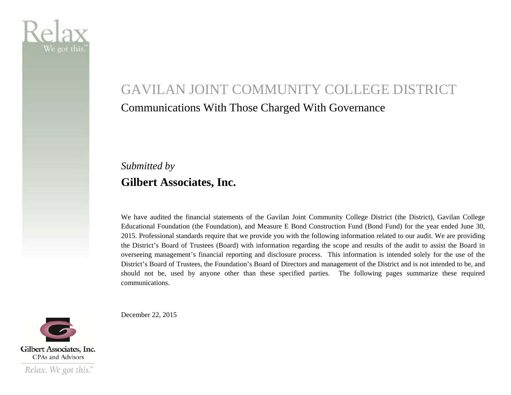

# GAVILAN JOINT COMMUNITY COLLEGE DISTRICT Communications With Those Charged With Governance

### *Submitted by*  **Gilbert Associates, Inc.**

We have audited the financial statements of the Gavilan Joint Community College District (the District), Gavilan College Educational Foundation (the Foundation), and Measure E Bond Construction Fund (Bond Fund) for the year ended June 30, 2015. Professional standards require that we provide you with the following information related to our audit. We are providing the District's Board of Trustees (Board) with information regarding the scope and results of the audit to assist the Board in overseeing management's financial reporting and disclosure process. This information is intended solely for the use of the District's Board of Trustees, the Foundation's Board of Directors and management of the District and is not intended to be, and should not be, used by anyone other than these specified parties. The following pages summarize these required communications.

December 22, 2015

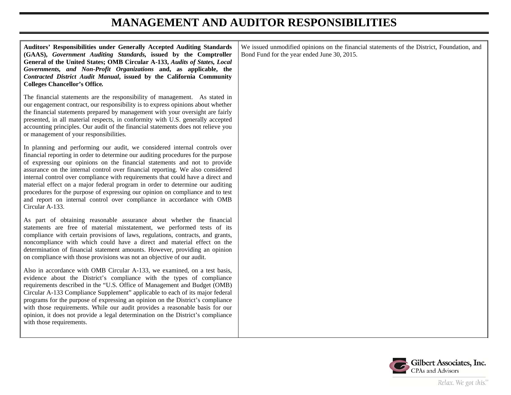#### **MANAGEMENT AND AUDITOR RESPONSIBILITIES**

**Auditors' Responsibilities under Generally Accepted Auditing Standards (GAAS),** *Government Auditing Standards,* **issued by the Comptroller General of the United States; OMB Circular A-133,** *Audits of States, Local Governments, and Non-Profit Organizations* **and, as applicable, the** *Contracted District Audit Manual***, issued by the California Community Colleges Chancellor's Office***.*

The financial statements are the responsibility of management. As stated in our engagement contract, our responsibility is to express opinions about whether the financial statements prepared by management with your oversight are fairly presented, in all material respects, in conformity with U.S. generally accepted accounting principles. Our audit of the financial statements does not relieve you or management of your responsibilities.

In planning and performing our audit, we considered internal controls over financial reporting in order to determine our auditing procedures for the purpose of expressing our opinions on the financial statements and not to provide assurance on the internal control over financial reporting. We also considered internal control over compliance with requirements that could have a direct and material effect on a major federal program in order to determine our auditing procedures for the purpose of expressing our opinion on compliance and to test and report on internal control over compliance in accordance with OMB Circular A-133.

As part of obtaining reasonable assurance about whether the financial statements are free of material misstatement, we performed tests of its compliance with certain provisions of laws, regulations, contracts, and grants, noncompliance with which could have a direct and material effect on the determination of financial statement amounts. However, providing an opinion on compliance with those provisions was not an objective of our audit.

Also in accordance with OMB Circular A-133, we examined, on a test basis, evidence about the District's compliance with the types of compliance requirements described in the "U.S. Office of Management and Budget (OMB) Circular A-133 Compliance Supplement" applicable to each of its major federal programs for the purpose of expressing an opinion on the District's compliance with those requirements. While our audit provides a reasonable basis for our opinion, it does not provide a legal determination on the District's compliance with those requirements.

We issued unmodified opinions on the financial statements of the District, Foundation, and Bond Fund for the year ended June 30, 2015.

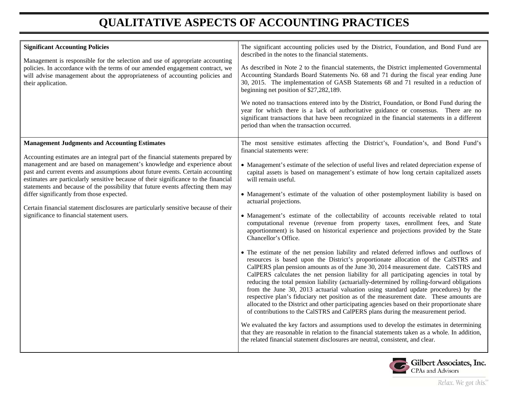## **QUALITATIVE ASPECTS OF ACCOUNTING PRACTICES**

| <b>Significant Accounting Policies</b><br>Management is responsible for the selection and use of appropriate accounting<br>policies. In accordance with the terms of our amended engagement contract, we<br>will advise management about the appropriateness of accounting policies and<br>their application.                                                                                                                                                                                                                                                                                                                                                       | The significant accounting policies used by the District, Foundation, and Bond Fund are<br>described in the notes to the financial statements.<br>As described in Note 2 to the financial statements, the District implemented Governmental<br>Accounting Standards Board Statements No. 68 and 71 during the fiscal year ending June<br>30, 2015. The implementation of GASB Statements 68 and 71 resulted in a reduction of<br>beginning net position of \$27,282,189.<br>We noted no transactions entered into by the District, Foundation, or Bond Fund during the<br>year for which there is a lack of authoritative guidance or consensus. There are no<br>significant transactions that have been recognized in the financial statements in a different<br>period than when the transaction occurred.                                                                                                                                                                                                                                                                                                                                                                                                                                                                                                                                                                                                                                                                                                                                                                                                                                                                                                                                                                                                                                                                     |
|---------------------------------------------------------------------------------------------------------------------------------------------------------------------------------------------------------------------------------------------------------------------------------------------------------------------------------------------------------------------------------------------------------------------------------------------------------------------------------------------------------------------------------------------------------------------------------------------------------------------------------------------------------------------|----------------------------------------------------------------------------------------------------------------------------------------------------------------------------------------------------------------------------------------------------------------------------------------------------------------------------------------------------------------------------------------------------------------------------------------------------------------------------------------------------------------------------------------------------------------------------------------------------------------------------------------------------------------------------------------------------------------------------------------------------------------------------------------------------------------------------------------------------------------------------------------------------------------------------------------------------------------------------------------------------------------------------------------------------------------------------------------------------------------------------------------------------------------------------------------------------------------------------------------------------------------------------------------------------------------------------------------------------------------------------------------------------------------------------------------------------------------------------------------------------------------------------------------------------------------------------------------------------------------------------------------------------------------------------------------------------------------------------------------------------------------------------------------------------------------------------------------------------------------------------------|
| <b>Management Judgments and Accounting Estimates</b><br>Accounting estimates are an integral part of the financial statements prepared by<br>management and are based on management's knowledge and experience about<br>past and current events and assumptions about future events. Certain accounting<br>estimates are particularly sensitive because of their significance to the financial<br>statements and because of the possibility that future events affecting them may<br>differ significantly from those expected.<br>Certain financial statement disclosures are particularly sensitive because of their<br>significance to financial statement users. | The most sensitive estimates affecting the District's, Foundation's, and Bond Fund's<br>financial statements were:<br>• Management's estimate of the selection of useful lives and related depreciation expense of<br>capital assets is based on management's estimate of how long certain capitalized assets<br>will remain useful.<br>• Management's estimate of the valuation of other postemployment liability is based on<br>actuarial projections.<br>• Management's estimate of the collectability of accounts receivable related to total<br>computational revenue (revenue from property taxes, enrollment fees, and State<br>apportionment) is based on historical experience and projections provided by the State<br>Chancellor's Office.<br>• The estimate of the net pension liability and related deferred inflows and outflows of<br>resources is based upon the District's proportionate allocation of the CalSTRS and<br>CalPERS plan pension amounts as of the June 30, 2014 measurement date. CalSTRS and<br>CalPERS calculates the net pension liability for all participating agencies in total by<br>reducing the total pension liability (actuarially-determined by rolling-forward obligations<br>from the June 30, 2013 actuarial valuation using standard update procedures) by the<br>respective plan's fiduciary net position as of the measurement date. These amounts are<br>allocated to the District and other participating agencies based on their proportionate share<br>of contributions to the CalSTRS and CalPERS plans during the measurement period.<br>We evaluated the key factors and assumptions used to develop the estimates in determining<br>that they are reasonable in relation to the financial statements taken as a whole. In addition,<br>the related financial statement disclosures are neutral, consistent, and clear. |

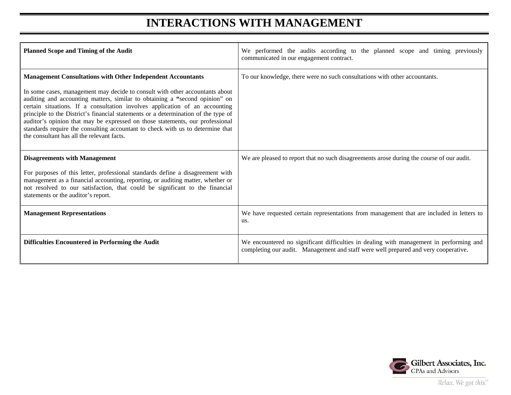#### **INTERACTIONS WITH MANAGEMENT**

| <b>Planned Scope and Timing of the Audit</b>                                                                                                                                                                                                                                                                                                                                                                                                                                                                                                                                                                            | We performed the audits according to the planned scope and timing previously<br>communicated in our engagement contract.                                                       |
|-------------------------------------------------------------------------------------------------------------------------------------------------------------------------------------------------------------------------------------------------------------------------------------------------------------------------------------------------------------------------------------------------------------------------------------------------------------------------------------------------------------------------------------------------------------------------------------------------------------------------|--------------------------------------------------------------------------------------------------------------------------------------------------------------------------------|
| <b>Management Consultations with Other Independent Accountants</b><br>In some cases, management may decide to consult with other accountants about<br>auditing and accounting matters, similar to obtaining a "second opinion" on<br>certain situations. If a consultation involves application of an accounting<br>principle to the District's financial statements or a determination of the type of<br>auditor's opinion that may be expressed on those statements, our professional<br>standards require the consulting accountant to check with us to determine that<br>the consultant has all the relevant facts. | To our knowledge, there were no such consultations with other accountants.                                                                                                     |
| <b>Disagreements with Management</b><br>For purposes of this letter, professional standards define a disagreement with<br>management as a financial accounting, reporting, or auditing matter, whether or<br>not resolved to our satisfaction, that could be significant to the financial<br>statements or the auditor's report.                                                                                                                                                                                                                                                                                        | We are pleased to report that no such disagreements arose during the course of our audit.                                                                                      |
| <b>Management Representations</b>                                                                                                                                                                                                                                                                                                                                                                                                                                                                                                                                                                                       | We have requested certain representations from management that are included in letters to<br>us.                                                                               |
| Difficulties Encountered in Performing the Audit                                                                                                                                                                                                                                                                                                                                                                                                                                                                                                                                                                        | We encountered no significant difficulties in dealing with management in performing and<br>completing our audit. Management and staff were well prepared and very cooperative. |

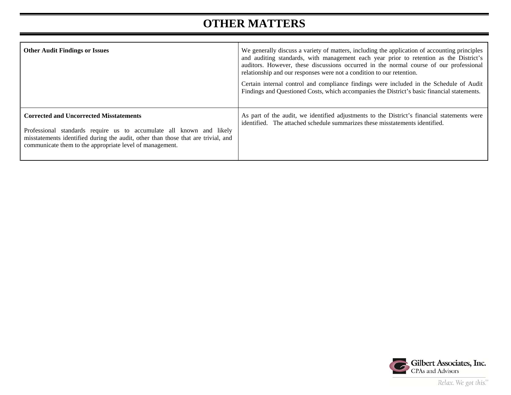### **OTHER MATTERS**

| <b>Other Audit Findings or Issues</b>                                                                                                                                                                                                                                   | We generally discuss a variety of matters, including the application of accounting principles<br>and auditing standards, with management each year prior to retention as the District's<br>auditors. However, these discussions occurred in the normal course of our professional<br>relationship and our responses were not a condition to our retention.<br>Certain internal control and compliance findings were included in the Schedule of Audit<br>Findings and Questioned Costs, which accompanies the District's basic financial statements. |
|-------------------------------------------------------------------------------------------------------------------------------------------------------------------------------------------------------------------------------------------------------------------------|------------------------------------------------------------------------------------------------------------------------------------------------------------------------------------------------------------------------------------------------------------------------------------------------------------------------------------------------------------------------------------------------------------------------------------------------------------------------------------------------------------------------------------------------------|
| <b>Corrected and Uncorrected Misstatements</b><br>Professional standards require us to accumulate all known and likely<br>misstatements identified during the audit, other than those that are trivial, and<br>communicate them to the appropriate level of management. | As part of the audit, we identified adjustments to the District's financial statements were<br>identified. The attached schedule summarizes these misstatements identified.                                                                                                                                                                                                                                                                                                                                                                          |

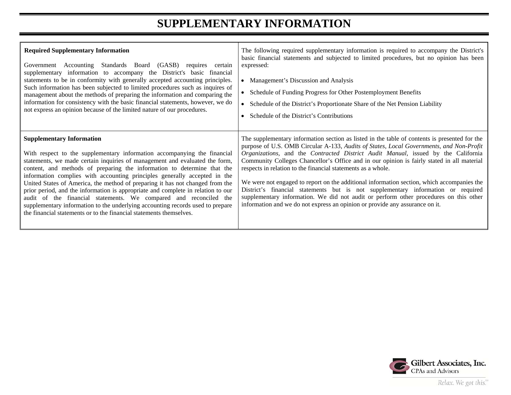### **SUPPLEMENTARY INFORMATION**

| <b>Required Supplementary Information</b>                                                                                                                                                                                                                                                                                                                                                                                                                                                                                                                                                                                                                                                                                                              | The following required supplementary information is required to accompany the District's                                                                                                                                                                                                                                                                                                                                                                                                                                                                                                                                                                                                                                                                                                               |
|--------------------------------------------------------------------------------------------------------------------------------------------------------------------------------------------------------------------------------------------------------------------------------------------------------------------------------------------------------------------------------------------------------------------------------------------------------------------------------------------------------------------------------------------------------------------------------------------------------------------------------------------------------------------------------------------------------------------------------------------------------|--------------------------------------------------------------------------------------------------------------------------------------------------------------------------------------------------------------------------------------------------------------------------------------------------------------------------------------------------------------------------------------------------------------------------------------------------------------------------------------------------------------------------------------------------------------------------------------------------------------------------------------------------------------------------------------------------------------------------------------------------------------------------------------------------------|
| Government Accounting Standards Board (GASB) requires certain                                                                                                                                                                                                                                                                                                                                                                                                                                                                                                                                                                                                                                                                                          | basic financial statements and subjected to limited procedures, but no opinion has been                                                                                                                                                                                                                                                                                                                                                                                                                                                                                                                                                                                                                                                                                                                |
| supplementary information to accompany the District's basic financial                                                                                                                                                                                                                                                                                                                                                                                                                                                                                                                                                                                                                                                                                  | expressed:                                                                                                                                                                                                                                                                                                                                                                                                                                                                                                                                                                                                                                                                                                                                                                                             |
| statements to be in conformity with generally accepted accounting principles.                                                                                                                                                                                                                                                                                                                                                                                                                                                                                                                                                                                                                                                                          | Management's Discussion and Analysis                                                                                                                                                                                                                                                                                                                                                                                                                                                                                                                                                                                                                                                                                                                                                                   |
| Such information has been subjected to limited procedures such as inquires of                                                                                                                                                                                                                                                                                                                                                                                                                                                                                                                                                                                                                                                                          | Schedule of Funding Progress for Other Postemployment Benefits                                                                                                                                                                                                                                                                                                                                                                                                                                                                                                                                                                                                                                                                                                                                         |
| management about the methods of preparing the information and comparing the                                                                                                                                                                                                                                                                                                                                                                                                                                                                                                                                                                                                                                                                            | Schedule of the District's Proportionate Share of the Net Pension Liability                                                                                                                                                                                                                                                                                                                                                                                                                                                                                                                                                                                                                                                                                                                            |
| information for consistency with the basic financial statements, however, we do                                                                                                                                                                                                                                                                                                                                                                                                                                                                                                                                                                                                                                                                        | $\bullet$                                                                                                                                                                                                                                                                                                                                                                                                                                                                                                                                                                                                                                                                                                                                                                                              |
| not express an opinion because of the limited nature of our procedures.                                                                                                                                                                                                                                                                                                                                                                                                                                                                                                                                                                                                                                                                                | Schedule of the District's Contributions                                                                                                                                                                                                                                                                                                                                                                                                                                                                                                                                                                                                                                                                                                                                                               |
| <b>Supplementary Information</b><br>With respect to the supplementary information accompanying the financial<br>statements, we made certain inquiries of management and evaluated the form,<br>content, and methods of preparing the information to determine that the<br>information complies with accounting principles generally accepted in the<br>United States of America, the method of preparing it has not changed from the<br>prior period, and the information is appropriate and complete in relation to our<br>audit of the financial statements. We compared and reconciled the<br>supplementary information to the underlying accounting records used to prepare<br>the financial statements or to the financial statements themselves. | The supplementary information section as listed in the table of contents is presented for the<br>purpose of U.S. OMB Circular A-133, Audits of States, Local Governments, and Non-Profit<br>Organizations, and the Contracted District Audit Manual, issued by the California<br>Community Colleges Chancellor's Office and in our opinion is fairly stated in all material<br>respects in relation to the financial statements as a whole.<br>We were not engaged to report on the additional information section, which accompanies the<br>District's financial statements but is not supplementary information or required<br>supplementary information. We did not audit or perform other procedures on this other<br>information and we do not express an opinion or provide any assurance on it. |

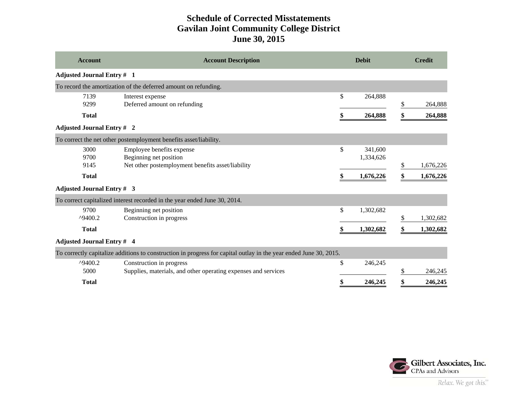#### **Schedule of Corrected Misstatements Gavilan Joint Community College District June 30, 2015**

| <b>Account</b>                    | <b>Account Description</b>                                                                                        | <b>Debit</b> |                      | <b>Credit</b> |           |
|-----------------------------------|-------------------------------------------------------------------------------------------------------------------|--------------|----------------------|---------------|-----------|
| <b>Adjusted Journal Entry # 1</b> |                                                                                                                   |              |                      |               |           |
|                                   | To record the amortization of the deferred amount on refunding.                                                   |              |                      |               |           |
| 7139<br>9299                      | Interest expense<br>Deferred amount on refunding                                                                  | \$           | 264,888              | \$            | 264,888   |
| <b>Total</b>                      |                                                                                                                   |              | 264,888              | \$            | 264,888   |
| <b>Adjusted Journal Entry # 2</b> |                                                                                                                   |              |                      |               |           |
|                                   | To correct the net other postemployment benefits asset/liability.                                                 |              |                      |               |           |
| 3000<br>9700                      | Employee benefits expense<br>Beginning net position                                                               | \$           | 341,600<br>1,334,626 |               |           |
| 9145                              | Net other postemployment benefits asset/liability                                                                 |              |                      | \$            | 1,676,226 |
| <b>Total</b>                      |                                                                                                                   |              | 1,676,226            | \$            | 1,676,226 |
| <b>Adjusted Journal Entry # 3</b> |                                                                                                                   |              |                      |               |           |
|                                   | To correct capitalized interest recorded in the year ended June 30, 2014.                                         |              |                      |               |           |
| 9700<br>$^{\text{49400}}$ .2      | Beginning net position<br>Construction in progress                                                                | \$           | 1,302,682            | \$            | 1,302,682 |
| <b>Total</b>                      |                                                                                                                   |              | 1,302,682            | \$            | 1,302,682 |
| <b>Adjusted Journal Entry # 4</b> |                                                                                                                   |              |                      |               |           |
|                                   | To correctly capitalize additions to construction in progress for capital outlay in the year ended June 30, 2015. |              |                      |               |           |
| $^{\text{49400}}$ .2<br>5000      | Construction in progress<br>Supplies, materials, and other operating expenses and services                        | \$           | 246,245              | \$            | 246,245   |
| <b>Total</b>                      |                                                                                                                   | \$           | 246,245              | \$            | 246,245   |

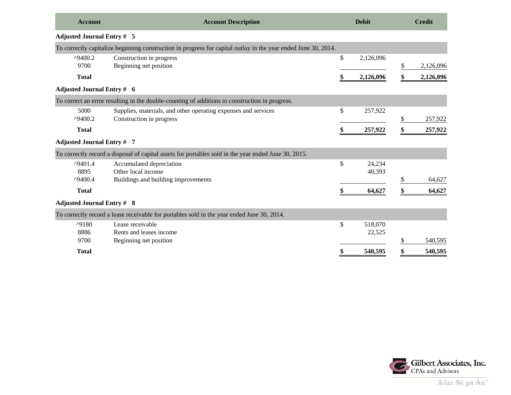| <b>Account</b>                                    | <b>Account Description</b>                                                                                     | <b>Debit</b>            |    | <b>Credit</b> |  |
|---------------------------------------------------|----------------------------------------------------------------------------------------------------------------|-------------------------|----|---------------|--|
| <b>Adjusted Journal Entry # 5</b>                 |                                                                                                                |                         |    |               |  |
|                                                   | To correctly capitalize beginning construction in progress for capital outlay in the year ended June 30, 2014. |                         |    |               |  |
| ^9400.2<br>9700                                   | Construction in progress<br>Beginning net position                                                             | \$<br>2,126,096         | \$ | 2,126,096     |  |
| <b>Total</b>                                      |                                                                                                                | 2,126,096               |    | 2,126,096     |  |
| <b>Adjusted Journal Entry # 6</b>                 |                                                                                                                |                         |    |               |  |
|                                                   | To correct an error resulting in the double-counting of additions to construction in progress.                 |                         |    |               |  |
| 5000<br>$^{\text{49400}}$ .2                      | Supplies, materials, and other operating expenses and services<br>Construction in progress                     | \$<br>257,922           | \$ | 257,922       |  |
| <b>Total</b>                                      |                                                                                                                | 257,922                 |    | 257,922       |  |
| <b>Adjusted Journal Entry #7</b>                  |                                                                                                                |                         |    |               |  |
|                                                   | To correctly record a disposal of capital assets for portables sold in the year ended June 30, 2015.           |                         |    |               |  |
| $^{\prime}9401.4$<br>8895<br>$^{\text{49400}}$ .4 | Accumulated depreciation<br>Other local income<br>Buildings and building improvements                          | \$<br>24,234<br>40,393  | \$ | 64.627        |  |
| <b>Total</b>                                      |                                                                                                                | 64,627                  | \$ | 64,627        |  |
| <b>Adjusted Journal Entry # 8</b>                 |                                                                                                                |                         |    |               |  |
|                                                   | To correctly record a lease receivable for portables sold in the year ended June 30, 2014.                     |                         |    |               |  |
| $^{\text{49180}}$<br>8886                         | Lease receivable<br>Rents and leases income                                                                    | \$<br>518,070<br>22,525 |    |               |  |
| 9700                                              | Beginning net position                                                                                         |                         | \$ | 540.595       |  |
| <b>Total</b>                                      |                                                                                                                | 540,595                 | \$ | 540,595       |  |